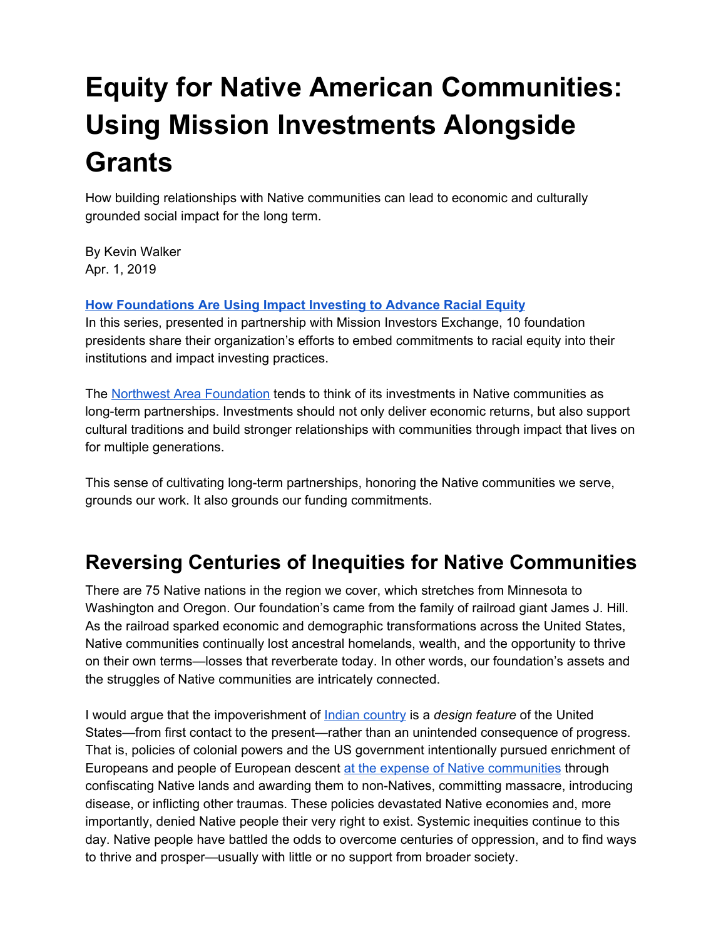# **Equity for Native American Communities: Using Mission Investments Alongside Grants**

How building relationships with Native communities can lead to economic and culturally grounded social impact for the long term.

By Kevin Walker Apr. 1, 2019

**How [Foundations](https://ssir.org/how_foundations_are_using_impact_investing_to_advance_racial_equity) Are Using Impact Investing to Advance Racial Equity**

In this series, presented in partnership with Mission Investors Exchange, 10 foundation presidents share their organization's efforts to embed commitments to racial equity into their institutions and impact investing practices.

The Northwest Area [Foundation](http://www.nwaf.org/) tends to think of its investments in Native communities as long-term partnerships. Investments should not only deliver economic returns, but also support cultural traditions and build stronger relationships with communities through impact that lives on for multiple generations.

This sense of cultivating long-term partnerships, honoring the Native communities we serve, grounds our work. It also grounds our funding commitments.

### **Reversing Centuries of Inequities for Native Communities**

There are 75 Native nations in the region we cover, which stretches from Minnesota to Washington and Oregon. Our foundation's came from the family of railroad giant James J. Hill. As the railroad sparked economic and demographic transformations across the United States, Native communities continually lost ancestral homelands, wealth, and the opportunity to thrive on their own terms—losses that reverberate today. In other words, our foundation's assets and the struggles of Native communities are intricately connected.

I would argue that the impoverishment of Indian [country](https://en.wikipedia.org/wiki/Indian_country) is a *design feature* of the United States—from first contact to the present—rather than an unintended consequence of progress. That is, policies of colonial powers and the US government intentionally pursued enrichment of Europeans and people of European descent at the expense of Native [communities](http://www.institutefornativejustice.org/wp-content/uploads/2014/07/Seven_Time_Periods_of_Federal_Indian_Policy.pdf) through confiscating Native lands and awarding them to non-Natives, committing massacre, introducing disease, or inflicting other traumas. These policies devastated Native economies and, more importantly, denied Native people their very right to exist. Systemic inequities continue to this day. Native people have battled the odds to overcome centuries of oppression, and to find ways to thrive and prosper—usually with little or no support from broader society.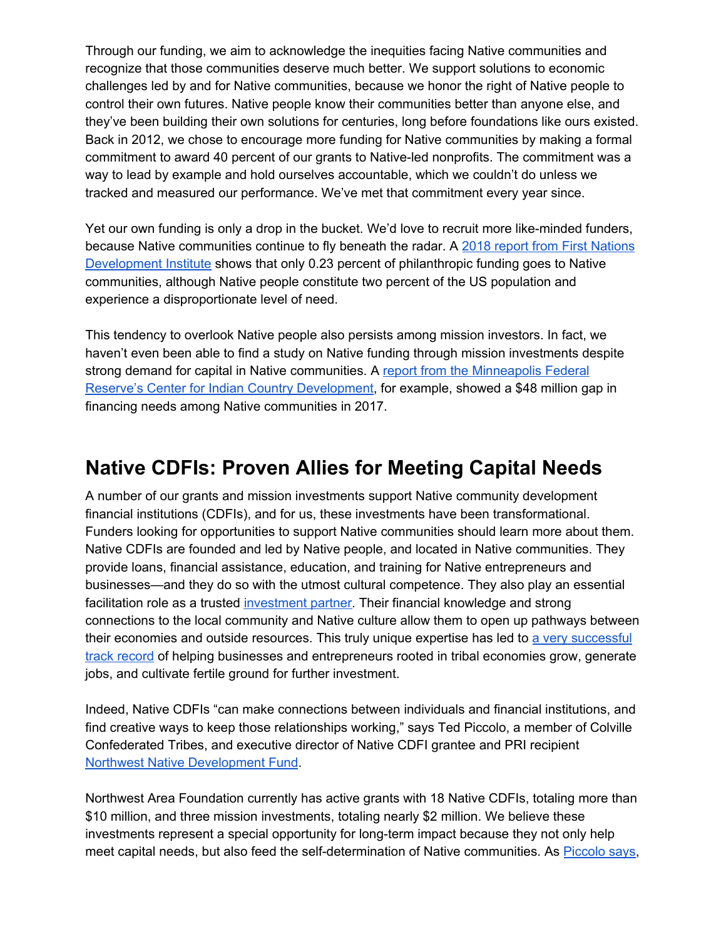Through our funding, we aim to acknowledge the inequities facing Native communities and recognize that those communities deserve much better. We support solutions to economic challenges led by and for Native communities, because we honor the right of Native people to control their own futures. Native people know their communities better than anyone else, and they've been building their own solutions for centuries, long before foundations like ours existed. Back in 2012, we chose to encourage more funding for Native communities by making a formal commitment to award 40 percent of our grants to Native-led nonprofits. The commitment was a way to lead by example and hold ourselves accountable, which we couldn't do unless we tracked and measured our performance. We've met that commitment every year since.

Yet our own funding is only a drop in the bucket. We'd love to recruit more like-minded funders, because Native communities continue to fly beneath the radar. A 2018 report from First [Nations](https://www.firstnations.org/publications/we-need-to-change-how-we-think-perspectives-on-philanthropys-underfunding-of-native-communities-and-causes/) [Development](https://www.firstnations.org/publications/we-need-to-change-how-we-think-perspectives-on-philanthropys-underfunding-of-native-communities-and-causes/) Institute shows that only 0.23 percent of philanthropic funding goes to Native communities, although Native people constitute two percent of the US population and experience a disproportionate level of need.

This tendency to overlook Native people also persists among mission investors. In fact, we haven't even been able to find a study on Native funding through mission investments despite strong demand for capital in Native communities. A report from the [Minneapolis](https://www.minneapolisfed.org/indiancountry/research-and-articles/cicd-working-paper-series/findings-from-the-2017-native-cdfi-survey-industry-opportunities-and-limitations) Federal Reserve's Center for Indian Country [Development](https://www.minneapolisfed.org/indiancountry/research-and-articles/cicd-working-paper-series/findings-from-the-2017-native-cdfi-survey-industry-opportunities-and-limitations), for example, showed a \$48 million gap in financing needs among Native communities in 2017.

#### **Native CDFIs: Proven Allies for Meeting Capital Needs**

A number of our grants and mission investments support Native community development financial institutions (CDFIs), and for us, these investments have been transformational. Funders looking for opportunities to support Native communities should learn more about them. Native CDFIs are founded and led by Native people, and located in Native communities. They provide loans, financial assistance, education, and training for Native entrepreneurs and businesses—and they do so with the utmost cultural competence. They also play an essential facilitation role as a trusted [investment](https://www.nwaf.org/native-cdfi-investment-partners/) partner. Their financial knowledge and strong connections to the local community and Native culture allow them to open up pathways between their economies and outside resources. This truly unique expertise has led to a very [successful](https://www.nwaf.org/native-cdfi-investment-partners/) track [record](https://www.nwaf.org/native-cdfi-investment-partners/) of helping businesses and entrepreneurs rooted in tribal economies grow, generate jobs, and cultivate fertile ground for further investment.

Indeed, Native CDFIs "can make connections between individuals and financial institutions, and find creative ways to keep those relationships working," says Ted Piccolo, a member of Colville Confederated Tribes, and executive director of Native CDFI grantee and PRI recipient Northwest Native [Development](https://thenndf.org/) Fund.

Northwest Area Foundation currently has active grants with 18 Native CDFIs, totaling more than \$10 million, and three mission investments, totaling nearly \$2 million. We believe these investments represent a special opportunity for long-term impact because they not only help meet capital needs, but also feed the self-determination of Native communities. As **[Piccolo](https://www.nwaf.org/leaders/) says**,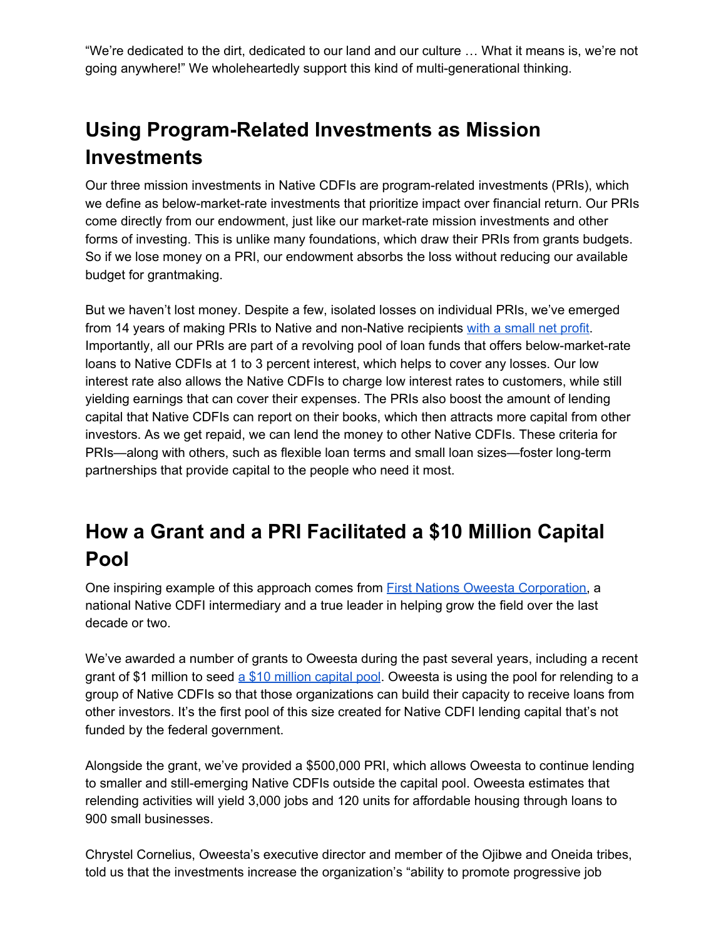"We're dedicated to the dirt, dedicated to our land and our culture … What it means is, we're not going anywhere!" We wholeheartedly support this kind of multi-generational thinking.

# **Using Program-Related Investments as Mission Investments**

Our three mission investments in Native CDFIs are program-related investments (PRIs), which we define as below-market-rate investments that prioritize impact over financial return. Our PRIs come directly from our endowment, just like our market-rate mission investments and other forms of investing. This is unlike many foundations, which draw their PRIs from grants budgets. So if we lose money on a PRI, our endowment absorbs the loss without reducing our available budget for grantmaking.

But we haven't lost money. Despite a few, isolated losses on individual PRIs, we've emerged from 14 years of making PRIs to Native and non-Native recipients with a [small](https://www.nwaf.org/2018/05/23/pri-measurement/) net profit. Importantly, all our PRIs are part of a revolving pool of loan funds that offers below-market-rate loans to Native CDFIs at 1 to 3 percent interest, which helps to cover any losses. Our low interest rate also allows the Native CDFIs to charge low interest rates to customers, while still yielding earnings that can cover their expenses. The PRIs also boost the amount of lending capital that Native CDFIs can report on their books, which then attracts more capital from other investors. As we get repaid, we can lend the money to other Native CDFIs. These criteria for PRIs—along with others, such as flexible loan terms and small loan sizes—foster long-term partnerships that provide capital to the people who need it most.

## **How a Grant and a PRI Facilitated a \$10 Million Capital Pool**

One inspiring example of this approach comes from First Nations Oweesta [Corporation,](https://www.oweesta.org/) a national Native CDFI intermediary and a true leader in helping grow the field over the last decade or two.

We've awarded a number of grants to Oweesta during the past several years, including a recent grant of \$1 million to seed a \$10 million [capital](https://www.nwaf.org/2018/03/30/oweesta-launches-10m-native-cdfi-capital-pool/) pool. Oweesta is using the pool for relending to a group of Native CDFIs so that those organizations can build their capacity to receive loans from other investors. It's the first pool of this size created for Native CDFI lending capital that's not funded by the federal government.

Alongside the grant, we've provided a \$500,000 PRI, which allows Oweesta to continue lending to smaller and still-emerging Native CDFIs outside the capital pool. Oweesta estimates that relending activities will yield 3,000 jobs and 120 units for affordable housing through loans to 900 small businesses.

Chrystel Cornelius, Oweesta's executive director and member of the Ojibwe and Oneida tribes, told us that the investments increase the organization's "ability to promote progressive job